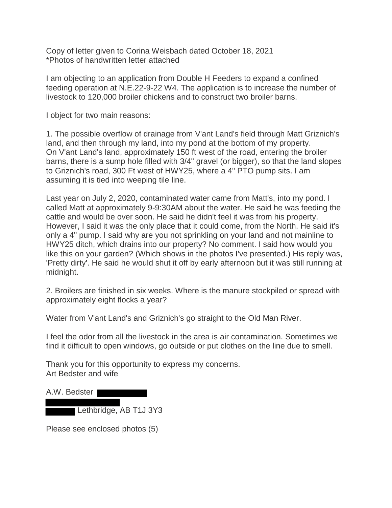Copy of letter given to Corina Weisbach dated October 18, 2021 \*Photos of handwritten letter attached

I am objecting to an application from Double H Feeders to expand a confined feeding operation at N.E.22-9-22 W4. The application is to increase the number of livestock to 120,000 broiler chickens and to construct two broiler barns.

I object for two main reasons:

1. The possible overflow of drainage from V'ant Land's field through Matt Griznich's land, and then through my land, into my pond at the bottom of my property. On V'ant Land's land, approximately 150 ft west of the road, entering the broiler barns, there is a sump hole filled with 3/4" gravel (or bigger), so that the land slopes to Griznich's road, 300 Ft west of HWY25, where a 4" PTO pump sits. I am assuming it is tied into weeping tile line.

Last year on July 2, 2020, contaminated water came from Matt's, into my pond. I called Matt at approximately 9-9:30AM about the water. He said he was feeding the cattle and would be over soon. He said he didn't feel it was from his property. However, I said it was the only place that it could come, from the North. He said it's only a 4" pump. I said why are you not sprinkling on your land and not mainline to HWY25 ditch, which drains into our property? No comment. I said how would you like this on your garden? (Which shows in the photos I've presented.) His reply was, 'Pretty dirty'. He said he would shut it off by early afternoon but it was still running at midnight.

2. Broilers are finished in six weeks. Where is the manure stockpiled or spread with approximately eight flocks a year?

Water from V'ant Land's and Griznich's go straight to the Old Man River.

I feel the odor from all the livestock in the area is air contamination. Sometimes we find it difficult to open windows, go outside or put clothes on the line due to smell.

Thank you for this opportunity to express my concerns. Art Bedster and wife

| A.W. Bedster |                        |  |
|--------------|------------------------|--|
|              | Lethbridge, AB T1J 3Y3 |  |

Please see enclosed photos (5)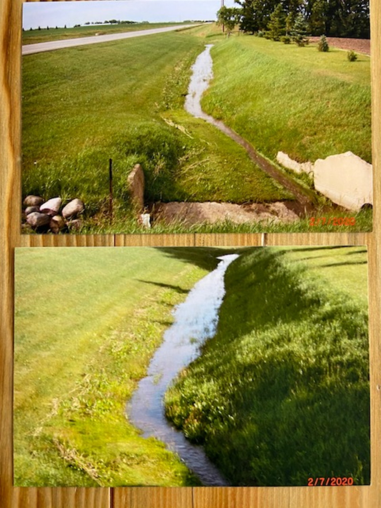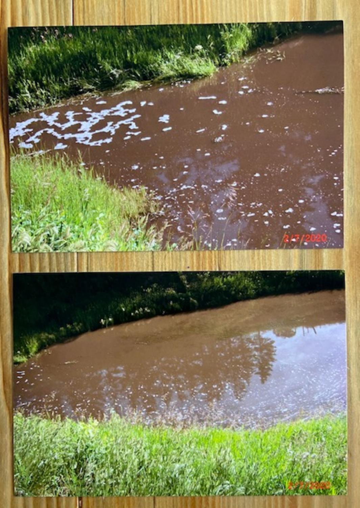